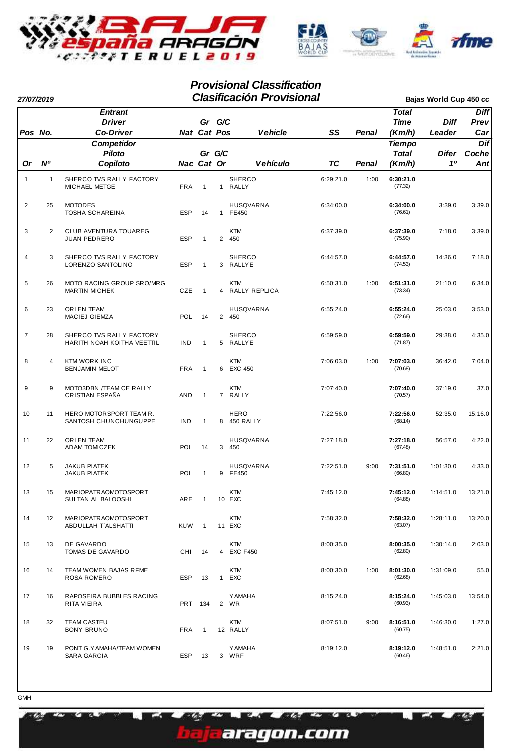

| 27/07/2019     |                |                                                        |            |                       |   | <b>Clasificación Provisional</b> |           |       |                                         | Bajas World Cup 450 cc |                            |  |  |  |  |  |  |  |
|----------------|----------------|--------------------------------------------------------|------------|-----------------------|---|----------------------------------|-----------|-------|-----------------------------------------|------------------------|----------------------------|--|--|--|--|--|--|--|
| Pos No.        |                | <b>Entrant</b><br><b>Driver</b><br><b>Co-Driver</b>    |            | Gr G/C<br>Nat Cat Pos |   | <b>Vehicle</b>                   | SS        | Penal | <b>Total</b><br><b>Time</b><br>(Km/h)   | <b>Diff</b><br>Leader  | <b>Diff</b><br>Prev<br>Car |  |  |  |  |  |  |  |
| Or             | N <sup>o</sup> | <b>Competidor</b><br><b>Piloto</b><br>Copiloto         |            | Gr G/C<br>Nac Cat Or  |   | <b>Vehículo</b>                  | TC        | Penal | <b>Tiempo</b><br><b>Total</b><br>(Km/h) | Difer<br>10            | Dif<br>Coche<br>Ant        |  |  |  |  |  |  |  |
| $\mathbf{1}$   | $\mathbf{1}$   | SHERCO TVS RALLY FACTORY<br><b>MICHAEL METGE</b>       | <b>FRA</b> | $\mathbf{1}$          |   | <b>SHERCO</b><br>1 RALLY         | 6:29:21.0 | 1:00  | 6:30:21.0<br>(77.32)                    |                        |                            |  |  |  |  |  |  |  |
| $\overline{2}$ | 25             | <b>MOTODES</b><br><b>TOSHA SCHAREINA</b>               | <b>ESP</b> | 14                    |   | HUSQVARNA<br>1 FE450             | 6:34:00.0 |       | 6:34:00.0<br>(76.61)                    | 3:39.0                 | 3:39.0                     |  |  |  |  |  |  |  |
| 3              | $\overline{2}$ | CLUB AVENTURA TOUAREG<br><b>JUAN PEDRERO</b>           | <b>ESP</b> | $\mathbf{1}$          |   | <b>KTM</b><br>2 450              | 6:37:39.0 |       | 6:37:39.0<br>(75.90)                    | 7:18.0                 | 3:39.0                     |  |  |  |  |  |  |  |
| $\overline{4}$ | 3              | SHERCO TVS RALLY FACTORY<br>LORENZO SANTOLINO          | <b>ESP</b> | $\mathbf{1}$          |   | <b>SHERCO</b><br>3 RALLYE        | 6:44:57.0 |       | 6:44:57.0<br>(74.53)                    | 14:36.0                | 7:18.0                     |  |  |  |  |  |  |  |
| 5              | 26             | MOTO RACING GROUP SRO/MRG<br><b>MARTIN MICHEK</b>      | CZE        | $\overline{1}$        |   | <b>KTM</b><br>4 RALLY REPLICA    | 6:50:31.0 | 1:00  | 6:51:31.0<br>(73.34)                    | 21:10.0                | 6:34.0                     |  |  |  |  |  |  |  |
| 6              | 23             | <b>ORLEN TEAM</b><br><b>MACIEJ GIEMZA</b>              | <b>POL</b> | 14                    |   | <b>HUSQVARNA</b><br>2 450        | 6:55:24.0 |       | 6:55:24.0<br>(72.66)                    | 25:03.0                | 3:53.0                     |  |  |  |  |  |  |  |
| $\overline{7}$ | 28             | SHERCO TVS RALLY FACTORY<br>HARITH NOAH KOITHA VEETTIL | <b>IND</b> | $\mathbf{1}$          |   | <b>SHERCO</b><br>5 RALLYE        | 6:59:59.0 |       | 6:59:59.0<br>(71.87)                    | 29:38.0                | 4:35.0                     |  |  |  |  |  |  |  |
| 8              | $\overline{4}$ | <b>KTM WORK INC</b><br><b>BENJAMIN MELOT</b>           | <b>FRA</b> | $\mathbf{1}$          | 6 | <b>KTM</b><br>EXC 450            | 7:06:03.0 | 1:00  | 7:07:03.0<br>(70.68)                    | 36:42.0                | 7:04.0                     |  |  |  |  |  |  |  |
| 9              | 9              | MOTO3DBN /TEAM CE RALLY<br>CRISTIAN ESPAÑA             | AND        | $\mathbf{1}$          |   | <b>KTM</b><br>7 RALLY            | 7:07:40.0 |       | 7:07:40.0<br>(70.57)                    | 37:19.0                | 37.0                       |  |  |  |  |  |  |  |
| 10             | 11             | HERO MOTORSPORT TEAM R.<br>SANTOSH CHUNCHUNGUPPE       | IND        | $\mathbf{1}$          |   | <b>HERO</b><br>8 450 RALLY       | 7:22:56.0 |       | 7:22:56.0<br>(68.14)                    | 52:35.0                | 15:16.0                    |  |  |  |  |  |  |  |
| 11             | 22             | <b>ORLEN TEAM</b><br><b>ADAM TOMICZEK</b>              | <b>POL</b> | 14                    | 3 | <b>HUSQVARNA</b><br>450          | 7:27:18.0 |       | 7:27:18.0<br>(67.48)                    | 56:57.0                | 4:22.0                     |  |  |  |  |  |  |  |
| 12             | 5              | <b>JAKUB PIATEK</b><br>JAKUB PIATEK                    | <b>POL</b> | $\mathbf{1}$          |   | HUSQVARNA<br>9 FE450             | 7:22:51.0 | 9:00  | 7:31:51.0<br>(66.80)                    | 1:01:30.0              | 4:33.0                     |  |  |  |  |  |  |  |
| 13             | 15             | MARIOPATRAOMOTOSPORT<br>SULTAN AL BALOOSHI             | ARE        | -1                    |   | KTM<br>10 EXC                    | 7:45:12.0 |       | 7:45:12.0<br>(64.88)                    | 1:14:51.0              | 13:21.0                    |  |  |  |  |  |  |  |
| 14             | 12             | MARIOPATRAOMOTOSPORT<br>ABDULLAH T'ALSHATTI            | <b>KUW</b> | $\overline{1}$        |   | <b>KTM</b><br>11 EXC             | 7:58:32.0 |       | 7:58:32.0<br>(63.07)                    | 1:28:11.0              | 13:20.0                    |  |  |  |  |  |  |  |
| 15             | 13             | DE GAVARDO<br>TOMAS DE GAVARDO                         | CHI        | 14                    |   | KTM<br>4 EXC F450                | 8:00:35.0 |       | 8:00:35.0<br>(62.80)                    | 1:30:14.0              | 2:03.0                     |  |  |  |  |  |  |  |
| 16             | 14             | TEAM WOMEN BAJAS RFME<br><b>ROSA ROMERO</b>            | <b>ESP</b> | 13                    | 1 | KTM<br>EXC                       | 8:00:30.0 | 1:00  | 8:01:30.0<br>(62.68)                    | 1:31:09.0              | 55.0                       |  |  |  |  |  |  |  |
| 17             | 16             | RAPOSEIRA BUBBLES RACING<br>RITA VIEIRA                |            | PRT 134               |   | <b>Y AMAHA</b><br>2 WR           | 8:15:24.0 |       | 8:15:24.0<br>(60.93)                    | 1:45:03.0              | 13:54.0                    |  |  |  |  |  |  |  |
| 18             | 32             | <b>TEAM CASTEU</b><br><b>BONY BRUNO</b>                | <b>FRA</b> | $\mathbf{1}$          |   | KTM<br>12 RALLY                  | 8:07:51.0 | 9:00  | 8:16:51.0<br>(60.75)                    | 1:46:30.0              | 1:27.0                     |  |  |  |  |  |  |  |
| 19             | 19             | PONT G.YAMAHA/TEAM WOMEN<br>SARA GARCIA                | ESP        | 13                    |   | <b>YAMAHA</b><br>3 WRF           | 8:19:12.0 |       | 8:19:12.0<br>(60.46)                    | 1:48:51.0              | 2:21.0                     |  |  |  |  |  |  |  |

az.

r x

WA.

aragon.com

**BLS** 

æ.

a Z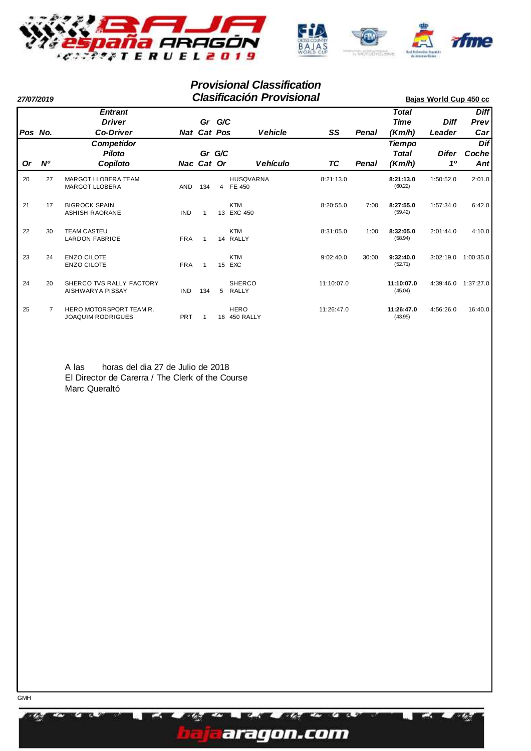

| 27/07/2019 |           |                                                     |            |                              |    | <b>Clasificación Provisional</b> | Bajas World Cup 450 cc |       |                                       |                       |                            |
|------------|-----------|-----------------------------------------------------|------------|------------------------------|----|----------------------------------|------------------------|-------|---------------------------------------|-----------------------|----------------------------|
| Pos No.    |           | <b>Entrant</b><br><b>Driver</b><br><b>Co-Driver</b> |            | Gr G/C<br><b>Nat Cat Pos</b> |    | <b>Vehicle</b>                   | SS                     | Penal | <b>Total</b><br><b>Time</b><br>(Km/h) | <b>Diff</b><br>Leader | <b>Diff</b><br>Prev<br>Car |
| <b>Or</b>  | <b>N°</b> | <b>Competidor</b><br><b>Piloto</b><br>Copiloto      |            | Gr G/C<br>Nac Cat Or         |    | <b>Vehículo</b>                  | ТC                     | Penal | <b>Tiempo</b><br>Total<br>(Km/h)      | Difer<br>10           | Dif<br>Coche<br>Ant        |
| 20         | 27        | <b>MARGOT LLOBERA TEAM</b><br><b>MARGOT LLOBERA</b> | <b>AND</b> | 134                          |    | <b>HUSQVARNA</b><br>4 FE 450     | 8:21:13.0              |       | 8:21:13.0<br>(60.22)                  | 1:50:52.0             | 2:01.0                     |
| 21         | 17        | <b>BIGROCK SPAIN</b><br>ASHISH RAORANE              | <b>IND</b> |                              |    | <b>KTM</b><br>13 EXC 450         | 8:20:55.0              | 7:00  | 8:27:55.0<br>(59.42)                  | 1:57:34.0             | 6:42.0                     |
| 22         | 30        | <b>TEAM CASTEU</b><br><b>LARDON FABRICE</b>         | <b>FRA</b> | 1                            |    | <b>KTM</b><br>14 RALLY           | 8:31:05.0              | 1:00  | 8:32:05.0<br>(58.94)                  | 2:01:44.0             | 4:10.0                     |
| 23         | 24        | <b>ENZO CILOTE</b><br><b>ENZO CILOTE</b>            | <b>FRA</b> |                              | 15 | <b>KTM</b><br>EXC                | 9:02:40.0              | 30:00 | 9:32:40.0<br>(52.71)                  | 3:02:19.0             | 1:00:35.0                  |
| 24         | 20        | SHERCO TVS RALLY FACTORY<br>AISHWARYA PISSAY        | <b>IND</b> | 134                          | 5  | <b>SHERCO</b><br><b>RALLY</b>    | 11:10:07.0             |       | 11:10:07.0<br>(45.04)                 | 4:39:46.0             | 1:37:27.0                  |
| 25         |           | HERO MOTORSPORT TEAM R.<br><b>JOAQUIM RODRIGUES</b> | <b>PRT</b> |                              |    | <b>HERO</b><br>16 450 RALLY      | 11:26:47.0             |       | 11:26:47.0<br>(43.95)                 | 4:56:26.0             | 16:40.0                    |

A las horas del dia 27 de Julio de 2018 El Director de Carerra / The Clerk of the Course Marc Queraltó

**GMH** 

73



my A.

r m

٣n **EX**  ZS.

**X** 

**TA**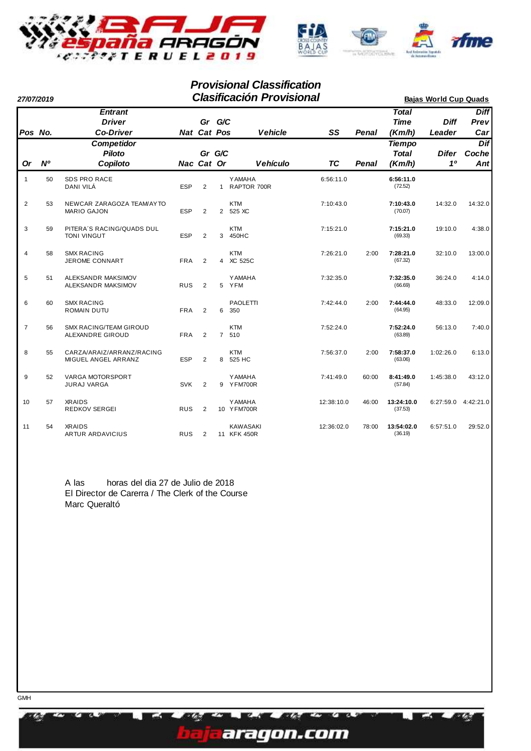

| 27/07/2019     |    |                                                     | <b>Clasificación Provisional</b> |                    |        |                                |                 |            |       | <b>Bajas World Cup Quads</b>            |                       |                            |  |
|----------------|----|-----------------------------------------------------|----------------------------------|--------------------|--------|--------------------------------|-----------------|------------|-------|-----------------------------------------|-----------------------|----------------------------|--|
| Pos No.        |    | <b>Entrant</b><br><b>Driver</b><br><b>Co-Driver</b> |                                  | <b>Nat Cat Pos</b> | Gr G/C |                                | <b>Vehicle</b>  | SS         | Penal | <b>Total</b><br><b>Time</b><br>(Km/h)   | <b>Diff</b><br>Leader | <b>Diff</b><br>Prev<br>Car |  |
| <b>Or</b>      | N° | Competidor<br>Piloto<br>Copiloto                    |                                  | Nac Cat Or         | Gr G/C |                                | <b>Vehículo</b> | <b>TC</b>  | Penal | <b>Tiempo</b><br><b>Total</b><br>(Km/h) | Difer<br>10           | Dif<br>Coche<br>Ant        |  |
| 1              | 50 | <b>SDS PRO RACE</b><br>DANI VILÁ                    | <b>ESP</b>                       | $\overline{2}$     |        | <b>YAMAHA</b><br>1 RAPTOR 700R |                 | 6:56:11.0  |       | 6:56:11.0<br>(72.52)                    |                       |                            |  |
| $\overline{2}$ | 53 | NEWCAR ZARAGOZA TEAM/AYTO<br><b>MARIO GAJON</b>     | <b>ESP</b>                       | 2                  |        | <b>KTM</b><br>2 525 XC         |                 | 7:10:43.0  |       | 7:10:43.0<br>(70.07)                    | 14:32.0               | 14:32.0                    |  |
| 3              | 59 | PITERA'S RACING/QUADS DUL<br><b>TONI VINGUT</b>     | <b>ESP</b>                       | 2                  | 3      | <b>KTM</b><br>450HC            |                 | 7:15:21.0  |       | 7:15:21.0<br>(69.33)                    | 19:10.0               | 4:38.0                     |  |
| 4              | 58 | <b>SMX RACING</b><br><b>JEROME CONNART</b>          | <b>FRA</b>                       | 2                  |        | <b>KTM</b><br>4 XC 525C        |                 | 7:26:21.0  | 2:00  | 7:28:21.0<br>(67.32)                    | 32:10.0               | 13:00.0                    |  |
| 5              | 51 | ALEKSANDR MAKSIMOV<br>ALEKSANDR MAKSIMOV            | <b>RUS</b>                       | $\overline{2}$     | 5      | <b>YAMAHA</b><br>YFM           |                 | 7:32:35.0  |       | 7:32:35.0<br>(66.69)                    | 36:24.0               | 4:14.0                     |  |
| 6              | 60 | <b>SMX RACING</b><br>ROMAIN DUTU                    | <b>FRA</b>                       | 2                  | 6      | PAOLETTI<br>350                |                 | 7:42:44.0  | 2:00  | 7:44:44.0<br>(64.95)                    | 48:33.0               | 12:09.0                    |  |
| $\overline{7}$ | 56 | <b>SMX RACING/TEAM GIROUD</b><br>ALEXANDRE GIROUD   | <b>FRA</b>                       | 2                  |        | <b>KTM</b><br>7 510            |                 | 7:52:24.0  |       | 7:52:24.0<br>(63.89)                    | 56:13.0               | 7:40.0                     |  |
| 8              | 55 | CARZA/ARAIZ/ARRANZ/RACING<br>MIGUEL ANGEL ARRANZ    | <b>ESP</b>                       | 2                  | 8      | <b>KTM</b><br>525 HC           |                 | 7:56:37.0  | 2:00  | 7:58:37.0<br>(63.06)                    | 1:02:26.0             | 6:13.0                     |  |
| 9              | 52 | VARGA MOTORSPORT<br><b>JURAJ VARGA</b>              | <b>SVK</b>                       | 2                  |        | <b>YAMAHA</b><br>9 YFM700R     |                 | 7:41:49.0  | 60:00 | 8:41:49.0<br>(57.84)                    | 1:45:38.0             | 43:12.0                    |  |
| 10             | 57 | <b>XRAIDS</b><br><b>REDKOV SERGEI</b>               | <b>RUS</b>                       | $\overline{2}$     |        | <b>YAMAHA</b><br>10 YFM700R    |                 | 12:38:10.0 | 46:00 | 13:24:10.0<br>(37.53)                   | 6:27:59.0             | 4:42:21.0                  |  |
| 11             | 54 | <b>XRAIDS</b><br><b>ARTUR ARDAVICIUS</b>            | <b>RUS</b>                       | $\overline{2}$     |        | <b>KAWASAKI</b><br>11 KFK 450R |                 | 12:36:02.0 | 78:00 | 13:54:02.0<br>(36.19)                   | 6:57:51.0             | 29:52.0                    |  |

A las horas del dia 27 de Julio de 2018 El Director de Carerra / The Clerk of the Course Marc Queraltó

**X** 

EZ9

ŵ

**DE Ave** 

aragon.com

r m

٣n **BL-3**  z.

TA.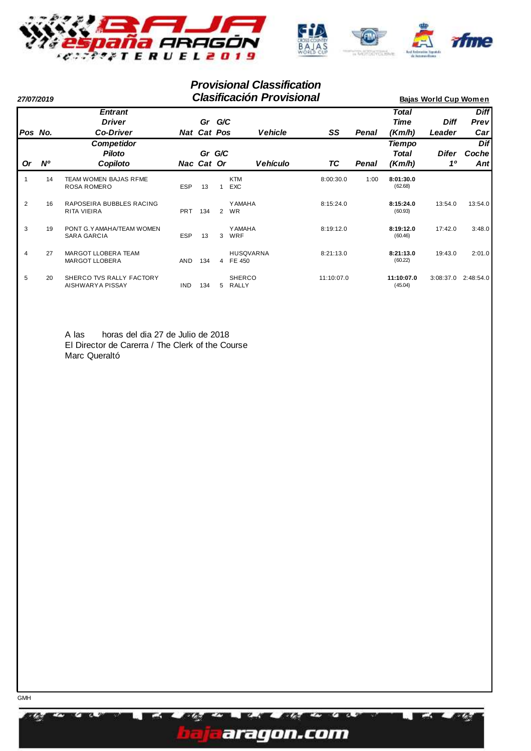

|           | 27/07/2019 |                                                     |            |                              |                | <b>Clasificación Provisional</b> | <b>Bajas World Cup Women</b> |       |                           |                       |                                                 |
|-----------|------------|-----------------------------------------------------|------------|------------------------------|----------------|----------------------------------|------------------------------|-------|---------------------------|-----------------------|-------------------------------------------------|
|           | Pos No.    | <b>Entrant</b><br><b>Driver</b><br><b>Co-Driver</b> |            | Gr G/C<br><b>Nat Cat Pos</b> |                | <b>Vehicle</b>                   | SS                           | Penal | Total<br>Time<br>(Km/h)   | <b>Diff</b><br>Leader | <b>Diff</b><br><b>Previ</b><br>Car <sub>l</sub> |
| <b>Or</b> | <b>N°</b>  | <b>Competidor</b><br><b>Piloto</b><br>Copiloto      |            | Nac Cat Or                   | Gr G/C         | <b>Vehículo</b>                  | ТC                           | Penal | Tiempo<br>Total<br>(Km/h) | Difer<br>10           | <b>Dif</b><br>Coche<br>Antl                     |
|           | 14         | TEAM WOMEN BAJAS RFME<br>ROSA ROMERO                | <b>ESP</b> | 13                           | $\mathbf{1}$   | <b>KTM</b><br><b>EXC</b>         | 8:00:30.0                    | 1:00  | 8:01:30.0<br>(62.68)      |                       |                                                 |
| 2         | 16         | RAPOSEIRA BUBBLES RACING<br>RITA VIEIRA             | <b>PRT</b> | 134                          | $\overline{2}$ | <b>YAMAHA</b><br><b>WR</b>       | 8:15:24.0                    |       | 8:15:24.0<br>(60.93)      | 13:54.0               | 13:54.0                                         |
| 3         | 19         | PONT G.YAMAHA/TEAM WOMEN<br>SARA GARCIA             | <b>ESP</b> | 13                           | 3              | <b>YAMAHA</b><br>WRF             | 8:19:12.0                    |       | 8:19:12.0<br>(60.46)      | 17:42.0               | 3:48.0                                          |
| 4         | 27         | MARGOT LLOBERA TEAM<br><b>MARGOT LLOBERA</b>        | <b>AND</b> | 134                          |                | <b>HUSQVARNA</b><br>4 FE 450     | 8:21:13.0                    |       | 8:21:13.0<br>(60.22)      | 19:43.0               | 2:01.0                                          |
| 5         | 20         | SHERCO TVS RALLY FACTORY<br>AISHWARYA PISSAY        | <b>IND</b> | 134                          | 5              | <b>SHERCO</b><br>RALLY           | 11:10:07.0                   |       | 11:10:07.0<br>(45.04)     | 3:08:37.0             | 2:48:54.0                                       |

A las horas del dia 27 de Julio de 2018 El Director de Carerra / The Clerk of the Course Marc Queraltó



XX.



WA.

r m

٣n **EX**  Ø.

X.

m zw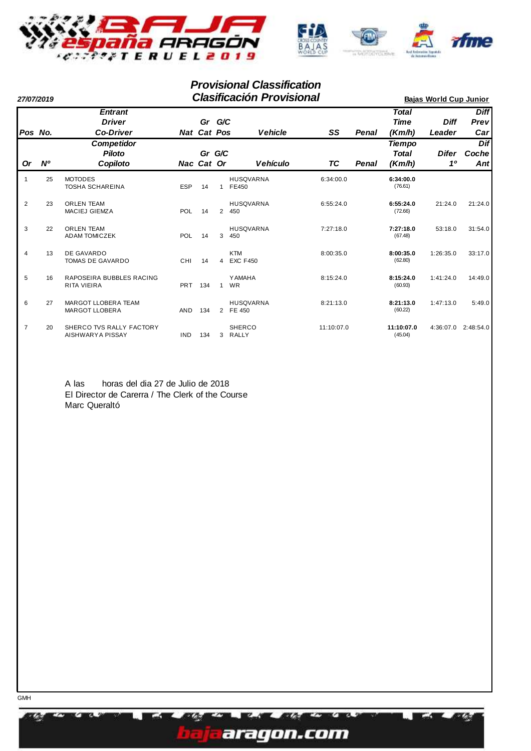

| 27/07/2019     |             |                                                     |            |                          |                | <b>Clasificación Provisional</b> | <b>Bajas World Cup Junior</b> |       |                                         |                         |                            |
|----------------|-------------|-----------------------------------------------------|------------|--------------------------|----------------|----------------------------------|-------------------------------|-------|-----------------------------------------|-------------------------|----------------------------|
| Pos No.        |             | <b>Entrant</b><br><b>Driver</b><br><b>Co-Driver</b> |            | Gr<br><b>Nat Cat Pos</b> | G/C            | <b>Vehicle</b>                   | SS                            | Penal | <b>Total</b><br>Time<br>(Km/h)          | <b>Diff</b><br>Leader   | <b>Diff</b><br>Prev<br>Car |
| <b>Or</b>      | $N^{\circ}$ | <b>Competidor</b><br><b>Piloto</b><br>Copiloto      |            | Gr<br>Nac Cat Or         | G/C            | <b>Vehículo</b>                  | ТC                            | Penal | <b>Tiempo</b><br><b>Total</b><br>(Km/h) | Difer<br>1 <sup>0</sup> | Dif<br>Coche<br>Ant        |
| $\overline{1}$ | 25          | <b>MOTODES</b><br><b>TOSHA SCHAREINA</b>            | <b>ESP</b> | 14                       |                | <b>HUSQVARNA</b><br>1 FE450      | 6:34:00.0                     |       | 6:34:00.0<br>(76.61)                    |                         |                            |
| $\overline{2}$ | 23          | <b>ORLEN TEAM</b><br><b>MACIEJ GIEMZA</b>           | POL        | 14                       | $\overline{2}$ | <b>HUSQVARNA</b><br>450          | 6:55:24.0                     |       | 6:55:24.0<br>(72.66)                    | 21:24.0                 | 21:24.0                    |
| 3              | 22          | <b>ORLEN TEAM</b><br><b>ADAM TOMICZEK</b>           | <b>POL</b> | 14                       | 3              | <b>HUSQVARNA</b><br>450          | 7:27:18.0                     |       | 7:27:18.0<br>(67.48)                    | 53:18.0                 | 31:54.0                    |
| 4              | 13          | DE GAVARDO<br><b>TOMAS DE GAVARDO</b>               | CHI        | 14                       | $\overline{4}$ | <b>KTM</b><br><b>EXC F450</b>    | 8:00:35.0                     |       | 8:00:35.0<br>(62.80)                    | 1:26:35.0               | 33:17.0                    |
| 5              | 16          | RAPOSEIRA BUBBLES RACING<br><b>RITA VIEIRA</b>      | <b>PRT</b> | 134                      | $\mathbf{1}$   | <b>YAMAHA</b><br><b>WR</b>       | 8:15:24.0                     |       | 8:15:24.0<br>(60.93)                    | 1:41:24.0               | 14:49.0                    |
| 6              | 27          | MARGOT LLOBERA TEAM<br><b>MARGOT LLOBERA</b>        | <b>AND</b> | 134                      |                | <b>HUSQVARNA</b><br>2 FE 450     | 8:21:13.0                     |       | 8:21:13.0<br>(60.22)                    | 1:47:13.0               | 5:49.0                     |
| $\overline{7}$ | 20          | SHERCO TVS RALLY FACTORY<br>AISHWARYA PISSAY        | <b>IND</b> | 134                      | 3              | <b>SHERCO</b><br><b>RALLY</b>    | 11:10:07.0                    |       | 11:10:07.0<br>(45.04)                   | 4:36:07.0               | 2:48:54.0                  |

A las horas del dia 27 de Julio de 2018 El Director de Carerra / The Clerk of the Course Marc Queraltó

**GMH** 

73



WA.

r m

٣n **EX**  Ø.

**X** 

**TA**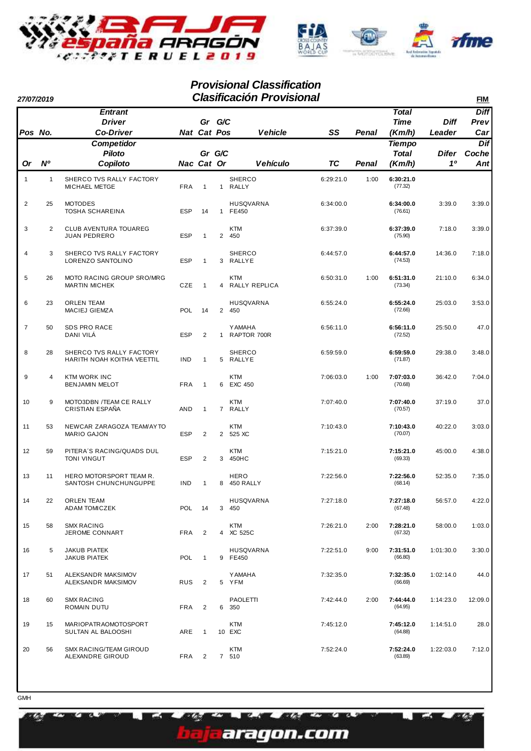

| 27/07/2019     |                |                                                        |            |                       |              | <b>Clasificación Provisional</b> |           |              |                                         |                       | <b>FIM</b>                 |
|----------------|----------------|--------------------------------------------------------|------------|-----------------------|--------------|----------------------------------|-----------|--------------|-----------------------------------------|-----------------------|----------------------------|
| Pos No.        |                | <b>Entrant</b><br><b>Driver</b><br><b>Co-Driver</b>    |            | Gr G/C<br>Nat Cat Pos |              | <b>Vehicle</b>                   | SS        | Penal        | <b>Total</b><br><b>Time</b><br>(Km/h)   | <b>Diff</b><br>Leader | <b>Diff</b><br>Prev<br>Car |
| Or             | N <sup>o</sup> | Competidor<br><b>Piloto</b><br>Copiloto                |            | Gr G/C<br>Nac Cat Or  |              | <b>Vehículo</b>                  | <b>TC</b> | <b>Penal</b> | <b>Tiempo</b><br><b>Total</b><br>(Km/h) | Difer<br>10           | Dif<br>Coche<br>Ant        |
| $\mathbf{1}$   | $\mathbf{1}$   | SHERCO TVS RALLY FACTORY<br>MICHAEL METGE              | <b>FRA</b> | $\mathbf{1}$          | 1            | <b>SHERCO</b><br>RALLY           | 6:29:21.0 | 1:00         | 6:30:21.0<br>(77.32)                    |                       |                            |
| $\overline{2}$ | 25             | <b>MOTODES</b><br><b>TOSHA SCHAREINA</b>               | <b>ESP</b> | 14                    | $\mathbf{1}$ | <b>HUSQVARNA</b><br>FE450        | 6:34:00.0 |              | 6:34:00.0<br>(76.61)                    | 3:39.0                | 3:39.0                     |
| 3              | $\overline{2}$ | CLUB AVENTURA TOUAREG<br><b>JUAN PEDRERO</b>           | <b>ESP</b> | $\mathbf{1}$          |              | <b>KTM</b><br>2 450              | 6:37:39.0 |              | 6:37:39.0<br>(75.90)                    | 7:18.0                | 3:39.0                     |
| $\overline{4}$ | 3              | SHERCO TVS RALLY FACTORY<br>LORENZO SANTOLINO          | <b>ESP</b> | $\mathbf{1}$          |              | <b>SHERCO</b><br>3 RALLYE        | 6:44:57.0 |              | 6:44:57.0<br>(74.53)                    | 14:36.0               | 7:18.0                     |
| 5              | 26             | MOTO RACING GROUP SRO/MRG<br><b>MARTIN MICHEK</b>      | CZE        | $\mathbf{1}$          |              | <b>KTM</b><br>4 RALLY REPLICA    | 6:50:31.0 | 1:00         | 6:51:31.0<br>(73.34)                    | 21:10.0               | 6:34.0                     |
| 6              | 23             | <b>ORLEN TEAM</b><br><b>MACIEJ GIEMZA</b>              | <b>POL</b> | 14                    |              | <b>HUSQVARNA</b><br>2 450        | 6:55:24.0 |              | 6:55:24.0<br>(72.66)                    | 25:03.0               | 3:53.0                     |
| $\overline{7}$ | 50             | SDS PRO RACE<br>DANI VILÁ                              | <b>ESP</b> | 2                     | $\mathbf{1}$ | <b>YAMAHA</b><br>RAPTOR 700R     | 6:56:11.0 |              | 6:56:11.0<br>(72.52)                    | 25:50.0               | 47.0                       |
| 8              | 28             | SHERCO TVS RALLY FACTORY<br>HARITH NOAH KOITHA VEETTIL | <b>IND</b> | $\mathbf{1}$          |              | <b>SHERCO</b><br>5 RALLYE        | 6:59:59.0 |              | 6:59:59.0<br>(71.87)                    | 29:38.0               | 3:48.0                     |
| 9              | $\overline{4}$ | <b>KTM WORK INC</b><br><b>BENJAMIN MELOT</b>           | <b>FRA</b> | $\mathbf{1}$          |              | <b>KTM</b><br>6 EXC 450          | 7:06:03.0 | 1:00         | 7:07:03.0<br>(70.68)                    | 36:42.0               | 7:04.0                     |
| 10             | 9              | MOTO3DBN /TEAM CE RALLY<br>CRISTIAN ESPAÑA             | <b>AND</b> | $\mathbf{1}$          |              | <b>KTM</b><br>7 RALLY            | 7:07:40.0 |              | 7:07:40.0<br>(70.57)                    | 37:19.0               | 37.0                       |
| 11             | 53             | NEWCAR ZARAGOZA TEAM/AYTO<br><b>MARIO GAJON</b>        | <b>ESP</b> | $\overline{2}$        |              | <b>KTM</b><br>2 525 XC           | 7:10:43.0 |              | 7:10:43.0<br>(70.07)                    | 40:22.0               | 3:03.0                     |
| 12             | 59             | PITERA'S RACING/QUADS DUL<br><b>TONI VINGUT</b>        | <b>ESP</b> | $\overline{2}$        | 3            | <b>KTM</b><br>450HC              | 7:15:21.0 |              | 7:15:21.0<br>(69.33)                    | 45:00.0               | 4:38.0                     |
| 13             | 11             | HERO MOTORSPORT TEAM R.<br>SANTOSH CHUNCHUNGUPPE       | <b>IND</b> | $\mathbf{1}$          | 8            | <b>HERO</b><br>450 RALLY         | 7:22:56.0 |              | 7:22:56.0<br>(68.14)                    | 52:35.0               | 7:35.0                     |
| 14             | 22             | ORLEN TEAM<br><b>ADAM TOMICZEK</b>                     | <b>POL</b> | - 14                  |              | <b>HUSQVARNA</b><br>3 450        | 7:27:18.0 |              | 7:27:18.0<br>(67.48)                    | 56:57.0               | 4:22.0                     |
| 15             | 58             | <b>SMX RACING</b><br>JEROME CONNART                    | <b>FRA</b> | 2                     |              | <b>KTM</b><br>4 XC 525C          | 7:26:21.0 | 2:00         | 7:28:21.0<br>(67.32)                    | 58:00.0               | 1:03.0                     |
| 16             | 5              | <b>JAKUB PIATEK</b><br>JAKUB PIATEK                    | POL        | $\mathbf{1}$          |              | <b>HUSQVARNA</b><br>9 FE450      | 7:22:51.0 | 9:00         | 7:31:51.0<br>(66.80)                    | 1:01:30.0             | 3:30.0                     |
| 17             | 51             | ALEKSANDR MAKSIMOV<br>ALEKSANDR MAKSIMOV               | <b>RUS</b> | $\overline{2}$        |              | <b>YAMAHA</b><br>5 YFM           | 7:32:35.0 |              | 7:32:35.0<br>(66.69)                    | 1:02:14.0             | 44.0                       |
| 18             | 60             | <b>SMX RACING</b><br>ROMAIN DUTU                       | <b>FRA</b> | $\overline{2}$        |              | PAOLETTI<br>6 350                | 7:42:44.0 | 2:00         | 7:44:44.0<br>(64.95)                    | 1:14:23.0             | 12:09.0                    |
| 19             | 15             | <b>MARIOPATRAOMOTOSPORT</b><br>SULTAN AL BALOOSHI      | ARE        | $\mathbf{1}$          |              | <b>KTM</b><br>10 EXC             | 7:45:12.0 |              | 7:45:12.0<br>(64.88)                    | 1:14:51.0             | 28.0                       |
| 20             | 56             | SMX RACING/TEAM GIROUD<br>ALEXANDRE GIROUD             | <b>FRA</b> | $\overline{2}$        |              | <b>KTM</b><br>7 510              | 7:52:24.0 |              | 7:52:24.0<br>(63.89)                    | 1:22:03.0             | 7:12.0                     |

az.

r

EZ.

WA.

aragon.com

r m

٣n **BL3**  œ

**GMH** 

a Z